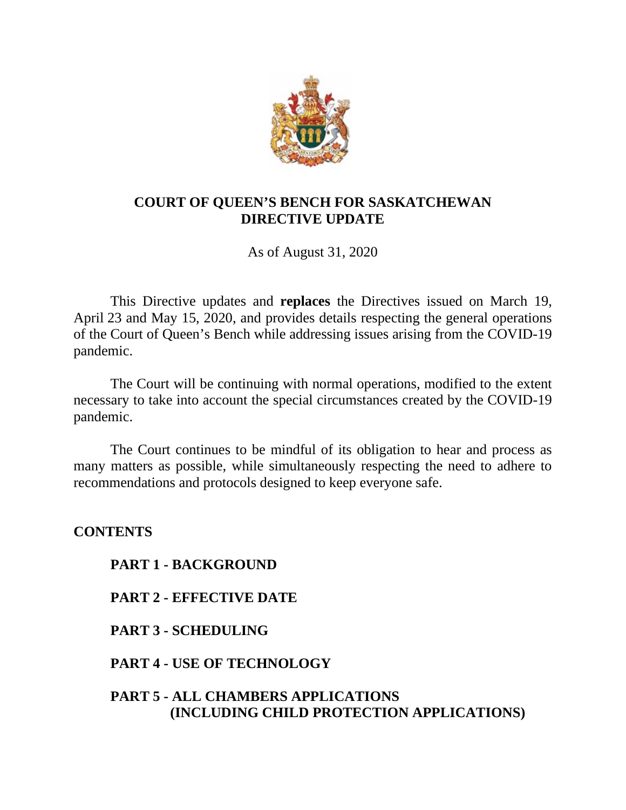

# **COURT OF QUEEN'S BENCH FOR SASKATCHEWAN DIRECTIVE UPDATE**

As of August 31, 2020

This Directive updates and **replaces** the Directives issued on March 19, April 23 and May 15, 2020, and provides details respecting the general operations of the Court of Queen's Bench while addressing issues arising from the COVID-19 pandemic.

The Court will be continuing with normal operations, modified to the extent necessary to take into account the special circumstances created by the COVID-19 pandemic.

The Court continues to be mindful of its obligation to hear and process as many matters as possible, while simultaneously respecting the need to adhere to recommendations and protocols designed to keep everyone safe.

**CONTENTS PART 1 - BACKGROUND PART 2 - EFFECTIVE DATE PART 3 - SCHEDULING PART 4 - USE OF TECHNOLOGY PART 5 - ALL CHAMBERS APPLICATIONS (INCLUDING CHILD PROTECTION APPLICATIONS)**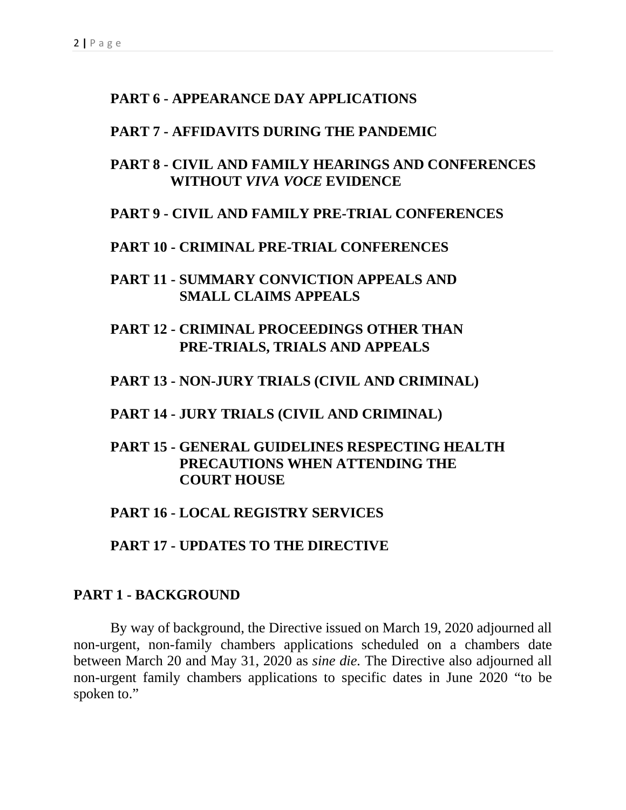### **PART 6 - APPEARANCE DAY APPLICATIONS**

#### **PART 7 - AFFIDAVITS DURING THE PANDEMIC**

## **PART 8 - CIVIL AND FAMILY HEARINGS AND CONFERENCES WITHOUT** *VIVA VOCE* **EVIDENCE**

### **PART 9 - CIVIL AND FAMILY PRE-TRIAL CONFERENCES**

#### **PART 10 - CRIMINAL PRE-TRIAL CONFERENCES**

**PART 11 - SUMMARY CONVICTION APPEALS AND SMALL CLAIMS APPEALS**

# **PART 12 - CRIMINAL PROCEEDINGS OTHER THAN PRE-TRIALS, TRIALS AND APPEALS**

#### **PART 13 - NON-JURY TRIALS (CIVIL AND CRIMINAL)**

#### **PART 14 - JURY TRIALS (CIVIL AND CRIMINAL)**

## **PART 15 - GENERAL GUIDELINES RESPECTING HEALTH PRECAUTIONS WHEN ATTENDING THE COURT HOUSE**

## **PART 16 - LOCAL REGISTRY SERVICES**

**PART 17 - UPDATES TO THE DIRECTIVE**

#### **PART 1 - BACKGROUND**

By way of background, the Directive issued on March 19, 2020 adjourned all non-urgent, non-family chambers applications scheduled on a chambers date between March 20 and May 31, 2020 as *sine die.* The Directive also adjourned all non-urgent family chambers applications to specific dates in June 2020 "to be spoken to."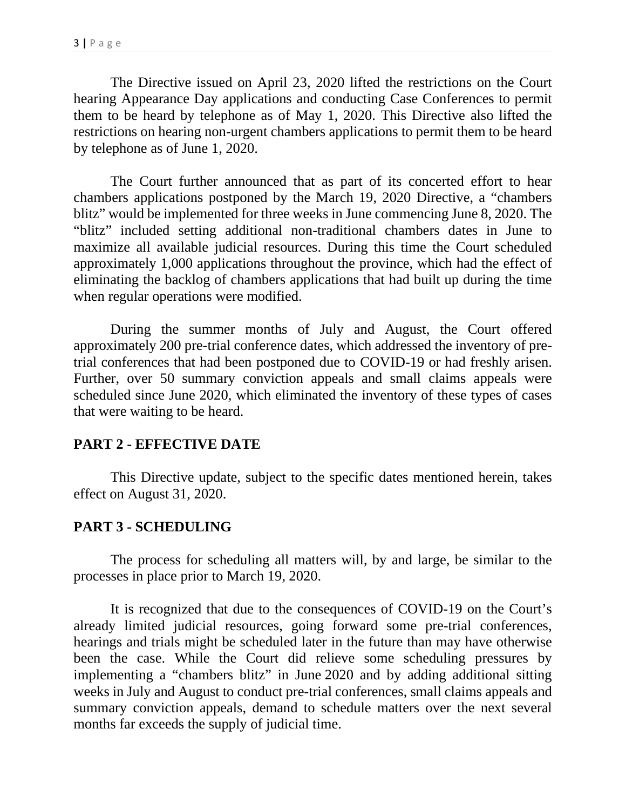The Directive issued on April 23, 2020 lifted the restrictions on the Court hearing Appearance Day applications and conducting Case Conferences to permit them to be heard by telephone as of May 1, 2020. This Directive also lifted the restrictions on hearing non-urgent chambers applications to permit them to be heard by telephone as of June 1, 2020.

The Court further announced that as part of its concerted effort to hear chambers applications postponed by the March 19, 2020 Directive, a "chambers blitz" would be implemented for three weeks in June commencing June 8, 2020. The "blitz" included setting additional non-traditional chambers dates in June to maximize all available judicial resources. During this time the Court scheduled approximately 1,000 applications throughout the province, which had the effect of eliminating the backlog of chambers applications that had built up during the time when regular operations were modified.

During the summer months of July and August, the Court offered approximately 200 pre-trial conference dates, which addressed the inventory of pretrial conferences that had been postponed due to COVID-19 or had freshly arisen. Further, over 50 summary conviction appeals and small claims appeals were scheduled since June 2020, which eliminated the inventory of these types of cases that were waiting to be heard.

# **PART 2 - EFFECTIVE DATE**

This Directive update, subject to the specific dates mentioned herein, takes effect on August 31, 2020.

# **PART 3 - SCHEDULING**

The process for scheduling all matters will, by and large, be similar to the processes in place prior to March 19, 2020.

It is recognized that due to the consequences of COVID-19 on the Court's already limited judicial resources, going forward some pre-trial conferences, hearings and trials might be scheduled later in the future than may have otherwise been the case. While the Court did relieve some scheduling pressures by implementing a "chambers blitz" in June 2020 and by adding additional sitting weeks in July and August to conduct pre-trial conferences, small claims appeals and summary conviction appeals, demand to schedule matters over the next several months far exceeds the supply of judicial time.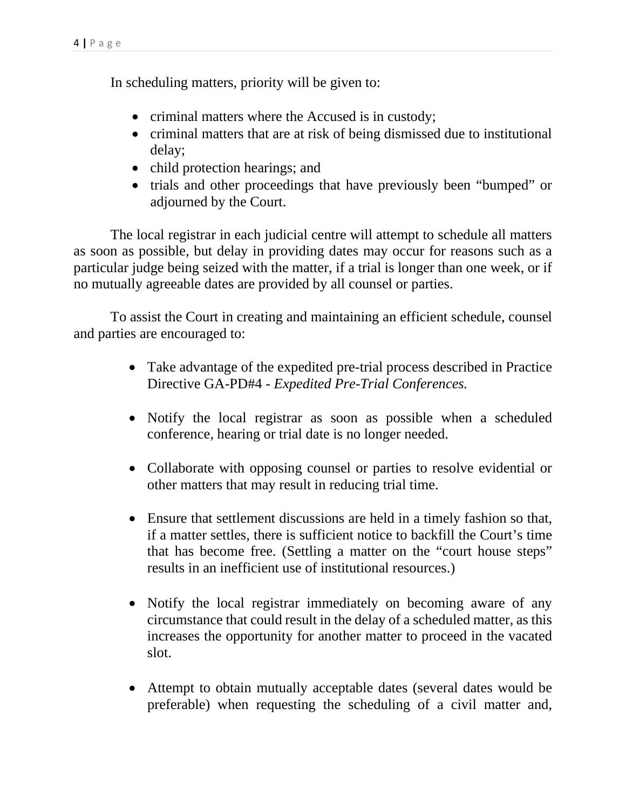In scheduling matters, priority will be given to:

- criminal matters where the Accused is in custody;
- criminal matters that are at risk of being dismissed due to institutional delay;
- child protection hearings; and
- trials and other proceedings that have previously been "bumped" or adjourned by the Court.

The local registrar in each judicial centre will attempt to schedule all matters as soon as possible, but delay in providing dates may occur for reasons such as a particular judge being seized with the matter, if a trial is longer than one week, or if no mutually agreeable dates are provided by all counsel or parties.

To assist the Court in creating and maintaining an efficient schedule, counsel and parties are encouraged to:

- Take advantage of the expedited pre-trial process described in Practice Directive GA-PD#4 - *Expedited Pre-Trial Conferences.*
- Notify the local registrar as soon as possible when a scheduled conference, hearing or trial date is no longer needed.
- Collaborate with opposing counsel or parties to resolve evidential or other matters that may result in reducing trial time.
- Ensure that settlement discussions are held in a timely fashion so that, if a matter settles, there is sufficient notice to backfill the Court's time that has become free. (Settling a matter on the "court house steps" results in an inefficient use of institutional resources.)
- Notify the local registrar immediately on becoming aware of any circumstance that could result in the delay of a scheduled matter, as this increases the opportunity for another matter to proceed in the vacated slot.
- Attempt to obtain mutually acceptable dates (several dates would be preferable) when requesting the scheduling of a civil matter and,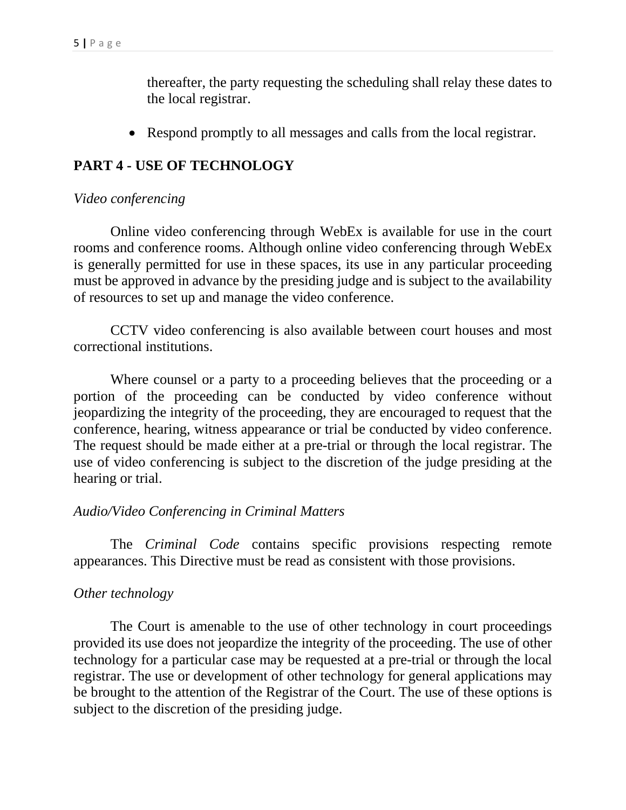thereafter, the party requesting the scheduling shall relay these dates to the local registrar.

• Respond promptly to all messages and calls from the local registrar.

# **PART 4 - USE OF TECHNOLOGY**

#### *Video conferencing*

Online video conferencing through WebEx is available for use in the court rooms and conference rooms. Although online video conferencing through WebEx is generally permitted for use in these spaces, its use in any particular proceeding must be approved in advance by the presiding judge and is subject to the availability of resources to set up and manage the video conference.

CCTV video conferencing is also available between court houses and most correctional institutions.

Where counsel or a party to a proceeding believes that the proceeding or a portion of the proceeding can be conducted by video conference without jeopardizing the integrity of the proceeding, they are encouraged to request that the conference, hearing, witness appearance or trial be conducted by video conference. The request should be made either at a pre-trial or through the local registrar. The use of video conferencing is subject to the discretion of the judge presiding at the hearing or trial.

### *Audio/Video Conferencing in Criminal Matters*

The *Criminal Code* contains specific provisions respecting remote appearances. This Directive must be read as consistent with those provisions.

### *Other technology*

The Court is amenable to the use of other technology in court proceedings provided its use does not jeopardize the integrity of the proceeding. The use of other technology for a particular case may be requested at a pre-trial or through the local registrar. The use or development of other technology for general applications may be brought to the attention of the Registrar of the Court. The use of these options is subject to the discretion of the presiding judge.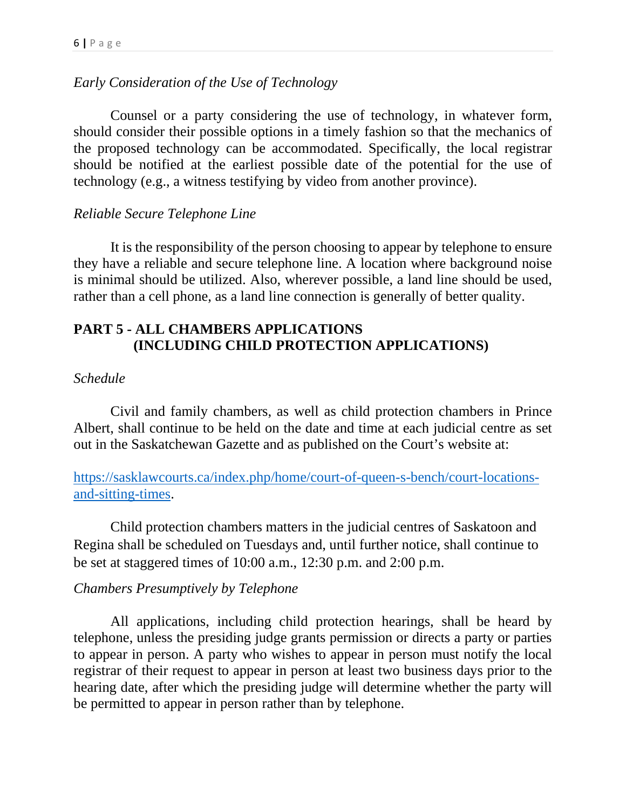# *Early Consideration of the Use of Technology*

Counsel or a party considering the use of technology, in whatever form, should consider their possible options in a timely fashion so that the mechanics of the proposed technology can be accommodated. Specifically, the local registrar should be notified at the earliest possible date of the potential for the use of technology (e.g., a witness testifying by video from another province).

# *Reliable Secure Telephone Line*

It is the responsibility of the person choosing to appear by telephone to ensure they have a reliable and secure telephone line. A location where background noise is minimal should be utilized. Also, wherever possible, a land line should be used, rather than a cell phone, as a land line connection is generally of better quality.

# **PART 5 - ALL CHAMBERS APPLICATIONS (INCLUDING CHILD PROTECTION APPLICATIONS)**

## *Schedule*

Civil and family chambers, as well as child protection chambers in Prince Albert, shall continue to be held on the date and time at each judicial centre as set out in the Saskatchewan Gazette and as published on the Court's website at:

[https://sasklawcourts.ca/index.php/home/court-of-queen-s-bench/court-locations](https://sasklawcourts.ca/index.php/home/court-of-queen-s-bench/court-locations-and-sitting-times)[and-sitting-times.](https://sasklawcourts.ca/index.php/home/court-of-queen-s-bench/court-locations-and-sitting-times)

Child protection chambers matters in the judicial centres of Saskatoon and Regina shall be scheduled on Tuesdays and, until further notice, shall continue to be set at staggered times of 10:00 a.m., 12:30 p.m. and 2:00 p.m.

# *Chambers Presumptively by Telephone*

All applications, including child protection hearings, shall be heard by telephone, unless the presiding judge grants permission or directs a party or parties to appear in person. A party who wishes to appear in person must notify the local registrar of their request to appear in person at least two business days prior to the hearing date, after which the presiding judge will determine whether the party will be permitted to appear in person rather than by telephone.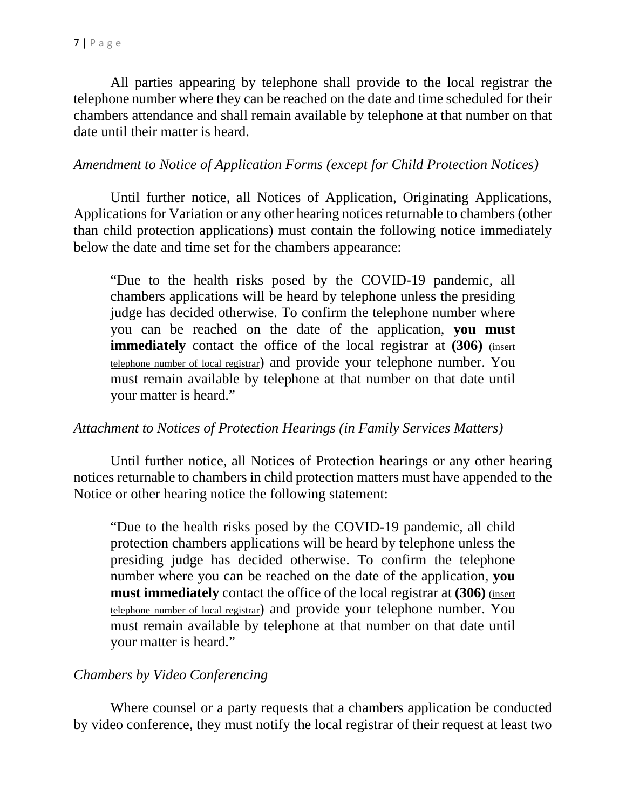All parties appearing by telephone shall provide to the local registrar the telephone number where they can be reached on the date and time scheduled for their chambers attendance and shall remain available by telephone at that number on that date until their matter is heard.

### *Amendment to Notice of Application Forms (except for Child Protection Notices)*

Until further notice, all Notices of Application, Originating Applications, Applications for Variation or any other hearing notices returnable to chambers (other than child protection applications) must contain the following notice immediately below the date and time set for the chambers appearance:

"Due to the health risks posed by the COVID-19 pandemic, all chambers applications will be heard by telephone unless the presiding judge has decided otherwise. To confirm the telephone number where you can be reached on the date of the application, **you must immediately** contact the office of the local registrar at **(306)** (insert telephone number of local registrar) and provide your telephone number. You must remain available by telephone at that number on that date until your matter is heard."

### *Attachment to Notices of Protection Hearings (in Family Services Matters)*

Until further notice, all Notices of Protection hearings or any other hearing notices returnable to chambers in child protection matters must have appended to the Notice or other hearing notice the following statement:

"Due to the health risks posed by the COVID-19 pandemic, all child protection chambers applications will be heard by telephone unless the presiding judge has decided otherwise. To confirm the telephone number where you can be reached on the date of the application, **you must immediately** contact the office of the local registrar at **(306)** (insert telephone number of local registrar) and provide your telephone number. You must remain available by telephone at that number on that date until your matter is heard."

### *Chambers by Video Conferencing*

Where counsel or a party requests that a chambers application be conducted by video conference, they must notify the local registrar of their request at least two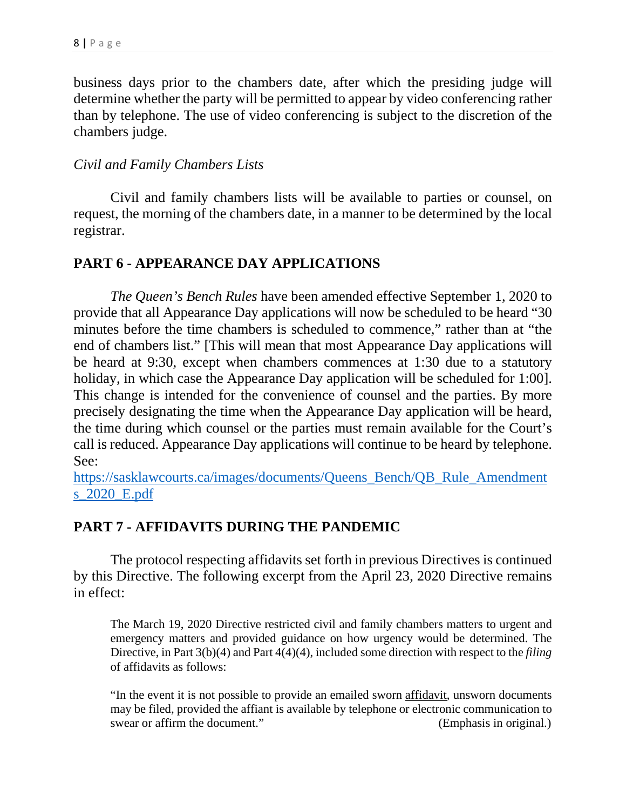business days prior to the chambers date, after which the presiding judge will determine whether the party will be permitted to appear by video conferencing rather than by telephone. The use of video conferencing is subject to the discretion of the chambers judge.

## *Civil and Family Chambers Lists*

Civil and family chambers lists will be available to parties or counsel, on request, the morning of the chambers date, in a manner to be determined by the local registrar.

# **PART 6 - APPEARANCE DAY APPLICATIONS**

*The Queen's Bench Rules* have been amended effective September 1, 2020 to provide that all Appearance Day applications will now be scheduled to be heard "30 minutes before the time chambers is scheduled to commence," rather than at "the end of chambers list." [This will mean that most Appearance Day applications will be heard at 9:30, except when chambers commences at 1:30 due to a statutory holiday, in which case the Appearance Day application will be scheduled for 1:00]. This change is intended for the convenience of counsel and the parties. By more precisely designating the time when the Appearance Day application will be heard, the time during which counsel or the parties must remain available for the Court's call is reduced. Appearance Day applications will continue to be heard by telephone. See:

[https://sasklawcourts.ca/images/documents/Queens\\_Bench/QB\\_Rule\\_Amendment](https://sasklawcourts.ca/images/documents/Queens_Bench/QB_Rule_Amendments_2020_E.pdf) [s\\_2020\\_E.pdf](https://sasklawcourts.ca/images/documents/Queens_Bench/QB_Rule_Amendments_2020_E.pdf)

# **PART 7 - AFFIDAVITS DURING THE PANDEMIC**

The protocol respecting affidavits set forth in previous Directives is continued by this Directive. The following excerpt from the April 23, 2020 Directive remains in effect:

The March 19, 2020 Directive restricted civil and family chambers matters to urgent and emergency matters and provided guidance on how urgency would be determined. The Directive, in Part 3(b)(4) and Part 4(4)(4), included some direction with respect to the *filing* of affidavits as follows:

"In the event it is not possible to provide an emailed sworn [affidavit,](https://sasklawcourts.ca/index.php/component/seoglossary/1-sask-law-courts/3-affidavit) unsworn documents may be filed, provided the affiant is available by telephone or electronic communication to swear or affirm the document." (Emphasis in original.)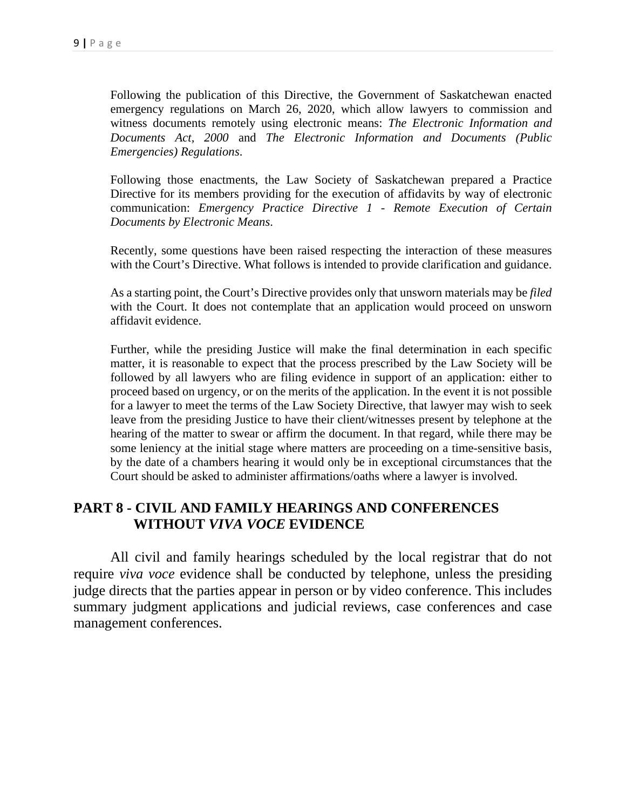Following the publication of this Directive, the Government of Saskatchewan enacted emergency regulations on March 26, 2020, which allow lawyers to commission and witness documents remotely using electronic means: *The Electronic Information and Documents Act, 2000* and *The Electronic Information and Documents (Public Emergencies) Regulations*.

Following those enactments, the Law Society of Saskatchewan prepared a Practice Directive for its members providing for the execution of affidavits by way of electronic communication: *Emergency Practice Directive 1 - Remote Execution of Certain Documents by Electronic Means*.

Recently, some questions have been raised respecting the interaction of these measures with the Court's Directive. What follows is intended to provide clarification and guidance.

As a starting point, the Court's Directive provides only that unsworn materials may be *filed* with the Court. It does not contemplate that an application would proceed on unsworn affidavit evidence.

Further, while the presiding Justice will make the final determination in each specific matter, it is reasonable to expect that the process prescribed by the Law Society will be followed by all lawyers who are filing evidence in support of an application: either to proceed based on urgency, or on the merits of the application. In the event it is not possible for a lawyer to meet the terms of the Law Society Directive, that lawyer may wish to seek leave from the presiding Justice to have their client/witnesses present by telephone at the hearing of the matter to swear or affirm the document. In that regard, while there may be some leniency at the initial stage where matters are proceeding on a time-sensitive basis, by the date of a chambers hearing it would only be in exceptional circumstances that the Court should be asked to administer affirmations/oaths where a lawyer is involved.

# **PART 8 - CIVIL AND FAMILY HEARINGS AND CONFERENCES WITHOUT** *VIVA VOCE* **EVIDENCE**

All civil and family hearings scheduled by the local registrar that do not require *viva voce* evidence shall be conducted by telephone, unless the presiding judge directs that the parties appear in person or by video conference. This includes summary judgment applications and judicial reviews, case conferences and case management conferences.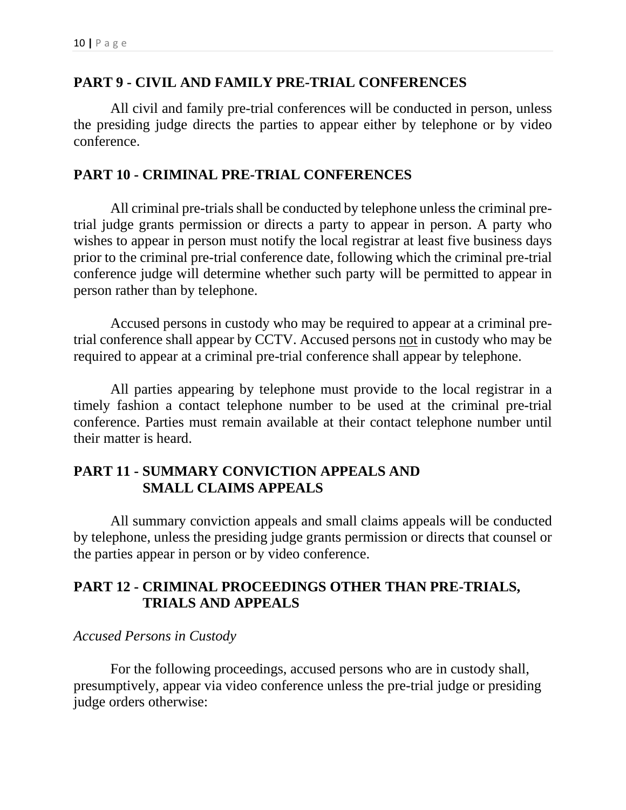#### **PART 9 - CIVIL AND FAMILY PRE-TRIAL CONFERENCES**

All civil and family pre-trial conferences will be conducted in person, unless the presiding judge directs the parties to appear either by telephone or by video conference.

#### **PART 10 - CRIMINAL PRE-TRIAL CONFERENCES**

All criminal pre-trials shall be conducted by telephone unless the criminal pretrial judge grants permission or directs a party to appear in person. A party who wishes to appear in person must notify the local registrar at least five business days prior to the criminal pre-trial conference date, following which the criminal pre-trial conference judge will determine whether such party will be permitted to appear in person rather than by telephone.

Accused persons in custody who may be required to appear at a criminal pretrial conference shall appear by CCTV. Accused persons not in custody who may be required to appear at a criminal pre-trial conference shall appear by telephone.

All parties appearing by telephone must provide to the local registrar in a timely fashion a contact telephone number to be used at the criminal pre-trial conference. Parties must remain available at their contact telephone number until their matter is heard.

## **PART 11 - SUMMARY CONVICTION APPEALS AND SMALL CLAIMS APPEALS**

All summary conviction appeals and small claims appeals will be conducted by telephone, unless the presiding judge grants permission or directs that counsel or the parties appear in person or by video conference.

# **PART 12 - CRIMINAL PROCEEDINGS OTHER THAN PRE-TRIALS, TRIALS AND APPEALS**

#### *Accused Persons in Custody*

For the following proceedings, accused persons who are in custody shall, presumptively, appear via video conference unless the pre-trial judge or presiding judge orders otherwise: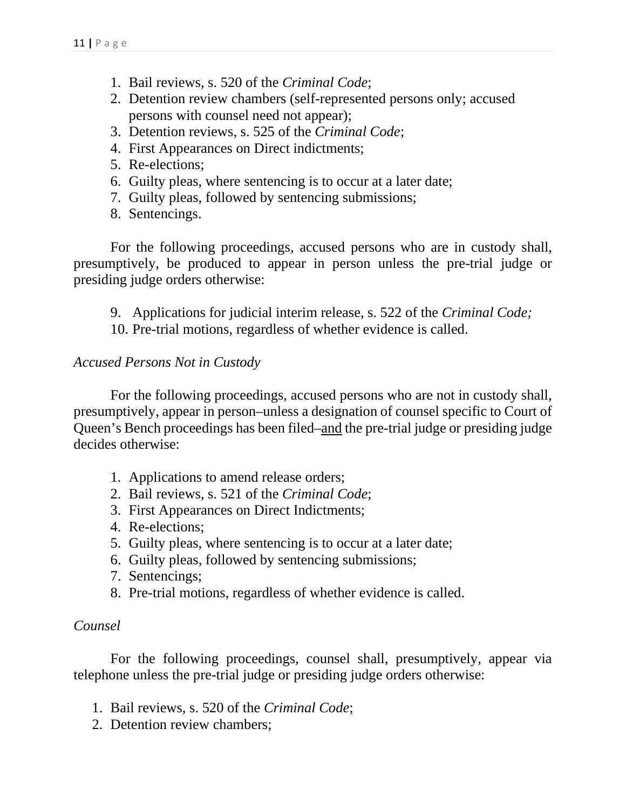- 1. Bail reviews, s. 520 of the *Criminal Code*;
- 2. Detention review chambers (self-represented persons only; accused persons with counsel need not appear);
- 3. Detention reviews, s. 525 of the *Criminal Code*;
- 4. First Appearances on Direct indictments;
- 5. Re-elections;
- 6. Guilty pleas, where sentencing is to occur at a later date;
- 7. Guilty pleas, followed by sentencing submissions;
- 8. Sentencings.

For the following proceedings, accused persons who are in custody shall, presumptively, be produced to appear in person unless the pre-trial judge or presiding judge orders otherwise:

- 9. Applications for judicial interim release, s. 522 of the *Criminal Code;*
- 10. Pre-trial motions, regardless of whether evidence is called.

#### *Accused Persons Not in Custody*

For the following proceedings, accused persons who are not in custody shall, presumptively, appear in person–unless a designation of counsel specific to Court of Queen's Bench proceedings has been filed–and the pre-trial judge or presiding judge decides otherwise:

- 1. Applications to amend release orders;
- 2. Bail reviews, s. 521 of the *Criminal Code*;
- 3. First Appearances on Direct Indictments;
- 4. Re-elections;
- 5. Guilty pleas, where sentencing is to occur at a later date;
- 6. Guilty pleas, followed by sentencing submissions;
- 7. Sentencings;
- 8. Pre-trial motions, regardless of whether evidence is called.

#### *Counsel*

For the following proceedings, counsel shall, presumptively, appear via telephone unless the pre-trial judge or presiding judge orders otherwise:

- 1. Bail reviews, s. 520 of the *Criminal Code*;
- 2. Detention review chambers;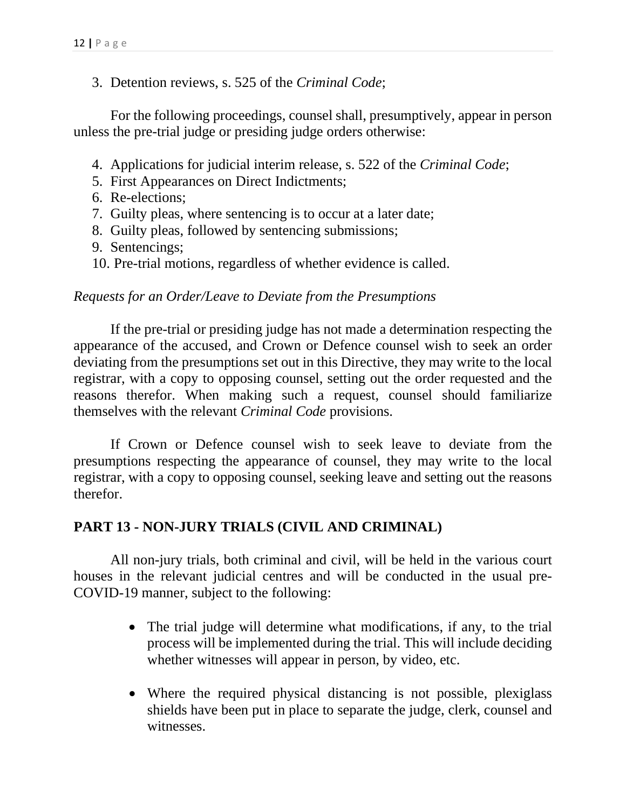#### 3. Detention reviews, s. 525 of the *Criminal Code*;

For the following proceedings, counsel shall, presumptively, appear in person unless the pre-trial judge or presiding judge orders otherwise:

- 4. Applications for judicial interim release, s. 522 of the *Criminal Code*;
- 5. First Appearances on Direct Indictments;
- 6. Re-elections;
- 7. Guilty pleas, where sentencing is to occur at a later date;
- 8. Guilty pleas, followed by sentencing submissions;
- 9. Sentencings;
- 10. Pre-trial motions, regardless of whether evidence is called.

#### *Requests for an Order/Leave to Deviate from the Presumptions*

If the pre-trial or presiding judge has not made a determination respecting the appearance of the accused, and Crown or Defence counsel wish to seek an order deviating from the presumptions set out in this Directive, they may write to the local registrar, with a copy to opposing counsel, setting out the order requested and the reasons therefor. When making such a request, counsel should familiarize themselves with the relevant *Criminal Code* provisions.

If Crown or Defence counsel wish to seek leave to deviate from the presumptions respecting the appearance of counsel, they may write to the local registrar, with a copy to opposing counsel, seeking leave and setting out the reasons therefor.

### **PART 13 - NON-JURY TRIALS (CIVIL AND CRIMINAL)**

All non-jury trials, both criminal and civil, will be held in the various court houses in the relevant judicial centres and will be conducted in the usual pre-COVID-19 manner, subject to the following:

- The trial judge will determine what modifications, if any, to the trial process will be implemented during the trial. This will include deciding whether witnesses will appear in person, by video, etc.
- Where the required physical distancing is not possible, plexiglass shields have been put in place to separate the judge, clerk, counsel and witnesses.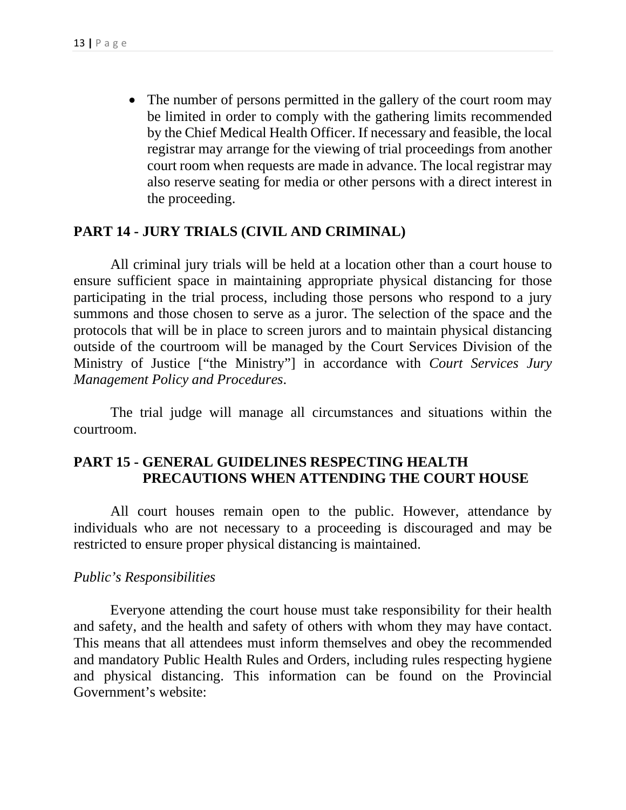• The number of persons permitted in the gallery of the court room may be limited in order to comply with the gathering limits recommended by the Chief Medical Health Officer. If necessary and feasible, the local registrar may arrange for the viewing of trial proceedings from another court room when requests are made in advance. The local registrar may also reserve seating for media or other persons with a direct interest in the proceeding.

### **PART 14 - JURY TRIALS (CIVIL AND CRIMINAL)**

All criminal jury trials will be held at a location other than a court house to ensure sufficient space in maintaining appropriate physical distancing for those participating in the trial process, including those persons who respond to a jury summons and those chosen to serve as a juror. The selection of the space and the protocols that will be in place to screen jurors and to maintain physical distancing outside of the courtroom will be managed by the Court Services Division of the Ministry of Justice ["the Ministry"] in accordance with *Court Services Jury Management Policy and Procedures*.

The trial judge will manage all circumstances and situations within the courtroom.

# **PART 15 - GENERAL GUIDELINES RESPECTING HEALTH PRECAUTIONS WHEN ATTENDING THE COURT HOUSE**

All court houses remain open to the public. However, attendance by individuals who are not necessary to a proceeding is discouraged and may be restricted to ensure proper physical distancing is maintained.

#### *Public's Responsibilities*

Everyone attending the court house must take responsibility for their health and safety, and the health and safety of others with whom they may have contact. This means that all attendees must inform themselves and obey the recommended and mandatory Public Health Rules and Orders, including rules respecting hygiene and physical distancing. This information can be found on the Provincial Government's website: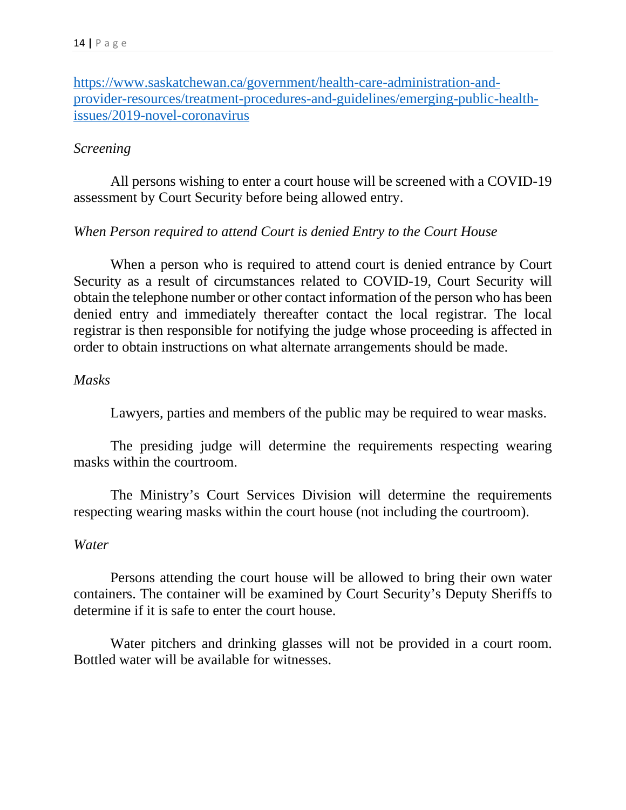[https://www.saskatchewan.ca/government/health-care-administration-and](https://www.saskatchewan.ca/government/health-care-administration-and-provider-resources/treatment-procedures-and-guidelines/emerging-public-health-issues/2019-novel-coronavirus)[provider-resources/treatment-procedures-and-guidelines/emerging-public-health](https://www.saskatchewan.ca/government/health-care-administration-and-provider-resources/treatment-procedures-and-guidelines/emerging-public-health-issues/2019-novel-coronavirus)[issues/2019-novel-coronavirus](https://www.saskatchewan.ca/government/health-care-administration-and-provider-resources/treatment-procedures-and-guidelines/emerging-public-health-issues/2019-novel-coronavirus)

## *Screening*

All persons wishing to enter a court house will be screened with a COVID-19 assessment by Court Security before being allowed entry.

## *When Person required to attend Court is denied Entry to the Court House*

When a person who is required to attend court is denied entrance by Court Security as a result of circumstances related to COVID-19, Court Security will obtain the telephone number or other contact information of the person who has been denied entry and immediately thereafter contact the local registrar. The local registrar is then responsible for notifying the judge whose proceeding is affected in order to obtain instructions on what alternate arrangements should be made.

### *Masks*

Lawyers, parties and members of the public may be required to wear masks.

The presiding judge will determine the requirements respecting wearing masks within the courtroom.

The Ministry's Court Services Division will determine the requirements respecting wearing masks within the court house (not including the courtroom).

### *Water*

Persons attending the court house will be allowed to bring their own water containers. The container will be examined by Court Security's Deputy Sheriffs to determine if it is safe to enter the court house.

Water pitchers and drinking glasses will not be provided in a court room. Bottled water will be available for witnesses.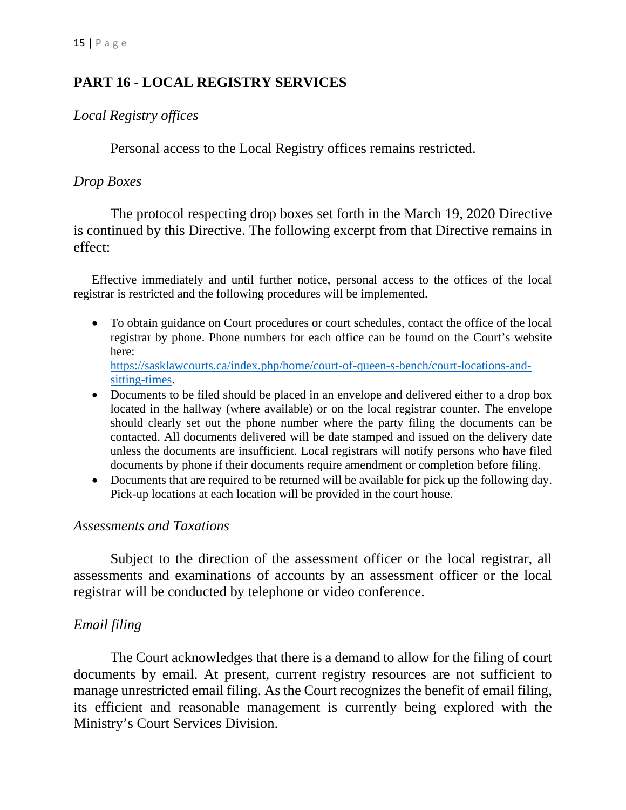# **PART 16 - LOCAL REGISTRY SERVICES**

### *Local Registry offices*

Personal access to the Local Registry offices remains restricted.

### *Drop Boxes*

The protocol respecting drop boxes set forth in the March 19, 2020 Directive is continued by this Directive. The following excerpt from that Directive remains in effect:

Effective immediately and until further notice, personal access to the offices of the local registrar is restricted and the following procedures will be implemented.

- To obtain guidance on Court procedures or court schedules, contact the office of the local registrar by phone. Phone numbers for each office can be found on the Court's website here: [https://sasklawcourts.ca/index.php/home/court-of-queen-s-bench/court-locations-and](https://sasklawcourts.ca/index.php/home/court-of-queen-s-bench/court-locations-and-sitting-times)[sitting-times.](https://sasklawcourts.ca/index.php/home/court-of-queen-s-bench/court-locations-and-sitting-times)
- Documents to be filed should be placed in an envelope and delivered either to a drop box located in the hallway (where available) or on the local registrar counter. The envelope should clearly set out the phone number where the party filing the documents can be contacted. All documents delivered will be date stamped and issued on the delivery date unless the documents are insufficient. Local registrars will notify persons who have filed documents by phone if their documents require amendment or completion before filing.
- Documents that are required to be returned will be available for pick up the following day. Pick-up locations at each location will be provided in the court house.

### *Assessments and Taxations*

Subject to the direction of the assessment officer or the local registrar, all assessments and examinations of accounts by an assessment officer or the local registrar will be conducted by telephone or video conference.

## *Email filing*

The Court acknowledges that there is a demand to allow for the filing of court documents by email. At present, current registry resources are not sufficient to manage unrestricted email filing. As the Court recognizes the benefit of email filing, its efficient and reasonable management is currently being explored with the Ministry's Court Services Division.